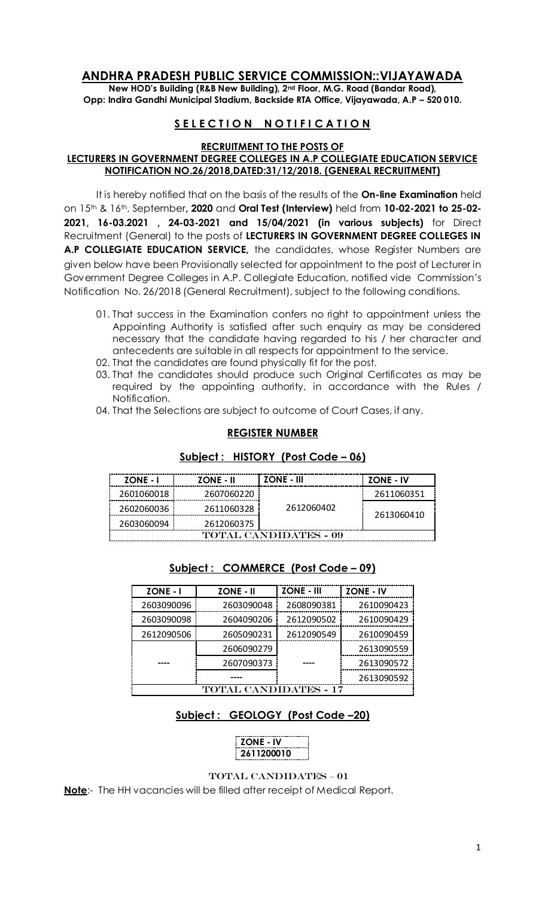# **ANDHRA PRADESH PUBLIC SERVICE COMMISSION::VIJAYAWADA**

**New HOD's Building (R&B New Building), 2nd Floor, M.G. Road (Bandar Road), Opp: Indira Gandhi Municipal Stadium, Backside RTA Office, Vijayawada, A.P – 520 010.** 

## **SELECTION NOTIFICATION**

#### **RECRUITMENT TO THE POSTS OF LECTURERS IN GOVERNMENT DEGREE COLLEGES IN A.P COLLEGIATE EDUCATION SERVICE NOTIFICATION NO.26/2018,DATED:31/12/2018. (GENERAL RECRUITMENT)**

It is hereby notified that on the basis of the results of the **On-line Examination** held on 15th & 16th, September**, 2020** and **Oral Test (Interview)** held from **10-02-2021 to 25-02- 2021, 16-03.2021 , 24-03-2021 and 15/04/2021 (in various subjects)** for Direct Recruitment (General) to the posts of **LECTURERS IN GOVERNMENT DEGREE COLLEGES IN A.P COLLEGIATE EDUCATION SERVICE,** the candidates, whose Register Numbers are given below have been Provisionally selected for appointment to the post of Lecturer in Government Degree Colleges in A.P. Collegiate Education, notified vide Commission's Notification No. 26/2018 (General Recruitment), subject to the following conditions.

- 01. That success in the Examination confers no right to appointment unless the Appointing Authority is satisfied after such enquiry as may be considered necessary that the candidate having regarded to his / her character and antecedents are suitable in all respects for appointment to the service.
- 02. That the candidates are found physically fit for the post.
- 03. That the candidates should produce such Original Certificates as may be required by the appointing authority, in accordance with the Rules / Notification.
- 04. That the Selections are subject to outcome of Court Cases, if any.

#### **REGISTER NUMBER**

### **Subject : HISTORY (Post Code – 06)**

| <b>ZONE - I</b>              | <b>ZONE - II</b> | <b>ZONE - III</b> | <b>ZONE - IV</b> |  |
|------------------------------|------------------|-------------------|------------------|--|
| 2601060018                   | 2607060220       | 2612060402        | 2611060351       |  |
| 2602060036                   | 2611060328       |                   | 2613060410       |  |
| 2603060094                   | 2612060375       |                   |                  |  |
| <b>TOTAL CANDIDATES - 09</b> |                  |                   |                  |  |

| <b>ZONE - I</b>   | <b>ZONE - II</b> | <b>ZONE - III</b> | <b>ZONE - IV</b> |  |
|-------------------|------------------|-------------------|------------------|--|
| 2603090096        | 2603090048       | 2608090381        | 2610090423       |  |
| 2603090098        | 2604090206       | 2612090502        | 2610090429       |  |
| 2612090506        | 2605090231       | 2612090549        | 2610090459       |  |
|                   | 2606090279       |                   | 2613090559       |  |
|                   | 2607090373       |                   | 2613090572       |  |
|                   |                  |                   | 2613090592       |  |
| <b>CANDIDATES</b> |                  |                   |                  |  |

### **Subject : COMMERCE (Post Code – 09)**

## **Subject : GEOLOGY (Post Code –20)**

| <b>ZONE - IV</b> |  |
|------------------|--|
| 2611200010       |  |

#### TOTAL CANDIDATES – 01

**Note**:- The HH vacancies will be filled after receipt of Medical Report.